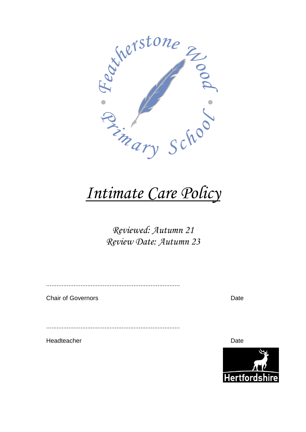

# *Intimate Care Policy*

# *Reviewed: Autumn 21 Review Date: Autumn 23*

..............................................................................

Chair of Governors **Date** 

..............................................................................

Headteacher **Date** 

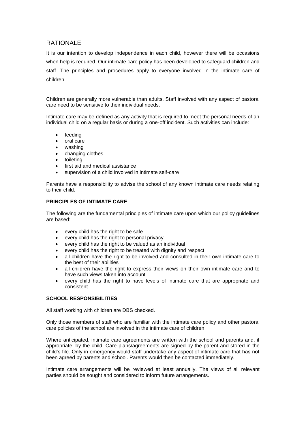# RATIONAL F

It is our intention to develop independence in each child, however there will be occasions when help is required. Our intimate care policy has been developed to safeguard children and staff. The principles and procedures apply to everyone involved in the intimate care of children.

Children are generally more vulnerable than adults. Staff involved with any aspect of pastoral care need to be sensitive to their individual needs.

Intimate care may be defined as any activity that is required to meet the personal needs of an individual child on a regular basis or during a one-off incident. Such activities can include:

- feeding
- oral care
- washing
- changing clothes
- toileting
- first aid and medical assistance
- supervision of a child involved in intimate self-care

Parents have a responsibility to advise the school of any known intimate care needs relating to their child.

# **PRINCIPLES OF INTIMATE CARE**

The following are the fundamental principles of intimate care upon which our policy guidelines are based:

- every child has the right to be safe
- every child has the right to personal privacy
- every child has the right to be valued as an individual
- every child has the right to be treated with dignity and respect
- all children have the right to be involved and consulted in their own intimate care to the best of their abilities
- all children have the right to express their views on their own intimate care and to have such views taken into account
- every child has the right to have levels of intimate care that are appropriate and consistent

#### **SCHOOL RESPONSIBILITIES**

All staff working with children are DBS checked.

Only those members of staff who are familiar with the intimate care policy and other pastoral care policies of the school are involved in the intimate care of children.

Where anticipated, intimate care agreements are written with the school and parents and, if appropriate, by the child. Care plans/agreements are signed by the parent and stored in the child's file. Only in emergency would staff undertake any aspect of intimate care that has not been agreed by parents and school. Parents would then be contacted immediately.

Intimate care arrangements will be reviewed at least annually. The views of all relevant parties should be sought and considered to inform future arrangements.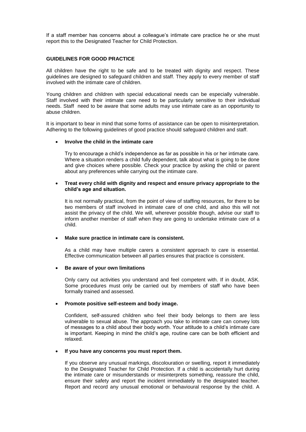If a staff member has concerns about a colleague's intimate care practice he or she must report this to the Designated Teacher for Child Protection.

### **GUIDELINES FOR GOOD PRACTICE**

All children have the right to be safe and to be treated with dignity and respect. These guidelines are designed to safeguard children and staff. They apply to every member of staff involved with the intimate care of children.

Young children and children with special educational needs can be especially vulnerable. Staff involved with their intimate care need to be particularly sensitive to their individual needs. Staff need to be aware that some adults may use intimate care as an opportunity to abuse children.

It is important to bear in mind that some forms of assistance can be open to misinterpretation. Adhering to the following guidelines of good practice should safeguard children and staff.

#### **Involve the child in the intimate care**

Try to encourage a child's independence as far as possible in his or her intimate care. Where a situation renders a child fully dependent, talk about what is going to be done and give choices where possible. Check your practice by asking the child or parent about any preferences while carrying out the intimate care.

# **Treat every child with dignity and respect and ensure privacy appropriate to the child's age and situation.**

It is not normally practical, from the point of view of staffing resources, for there to be two members of staff involved in intimate care of one child, and also this will not assist the privacy of the child. We will, wherever possible though, advise our staff to inform another member of staff when they are going to undertake intimate care of a child.

#### **Make sure practice in intimate care is consistent.**

As a child may have multiple carers a consistent approach to care is essential. Effective communication between all parties ensures that practice is consistent.

#### **Be aware of your own limitations**

Only carry out activities you understand and feel competent with. If in doubt, ASK. Some procedures must only be carried out by members of staff who have been formally trained and assessed.

#### **Promote positive self-esteem and body image.**

Confident, self-assured children who feel their body belongs to them are less vulnerable to sexual abuse. The approach you take to intimate care can convey lots of messages to a child about their body worth. Your attitude to a child's intimate care is important. Keeping in mind the child's age, routine care can be both efficient and relaxed.

## **If you have any concerns you must report them.**

If you observe any unusual markings, discolouration or swelling, report it immediately to the Designated Teacher for Child Protection. If a child is accidentally hurt during the intimate care or misunderstands or misinterprets something, reassure the child, ensure their safety and report the incident immediately to the designated teacher. Report and record any unusual emotional or behavioural response by the child. A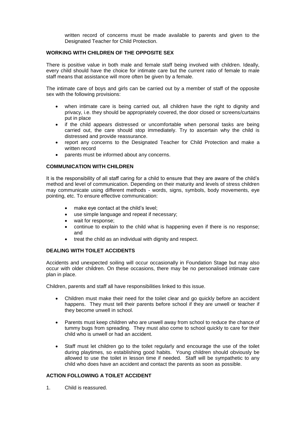written record of concerns must be made available to parents and given to the Designated Teacher for Child Protection.

# **WORKING WITH CHILDREN OF THE OPPOSITE SEX**

There is positive value in both male and female staff being involved with children. Ideally, every child should have the choice for intimate care but the current ratio of female to male staff means that assistance will more often be given by a female.

The intimate care of boys and girls can be carried out by a member of staff of the opposite sex with the following provisions:

- when intimate care is being carried out, all children have the right to dignity and privacy, i.e. they should be appropriately covered, the door closed or screens/curtains put in place
- if the child appears distressed or uncomfortable when personal tasks are being carried out, the care should stop immediately. Try to ascertain why the child is distressed and provide reassurance.
- report any concerns to the Designated Teacher for Child Protection and make a written record
- parents must be informed about any concerns.

# **COMMUNICATION WITH CHILDREN**

It is the responsibility of all staff caring for a child to ensure that they are aware of the child's method and level of communication. Depending on their maturity and levels of stress children may communicate using different methods - words, signs, symbols, body movements, eye pointing, etc. To ensure effective communication:

- make eye contact at the child's level;
- use simple language and repeat if necessary;
- wait for response;
- continue to explain to the child what is happening even if there is no response; and
- treat the child as an individual with dignity and respect.

# **DEALING WITH TOILET ACCIDENTS**

Accidents and unexpected soiling will occur occasionally in Foundation Stage but may also occur with older children. On these occasions, there may be no personalised intimate care plan in place.

Children, parents and staff all have responsibilities linked to this issue.

- Children must make their need for the toilet clear and go quickly before an accident happens. They must tell their parents before school if they are unwell or teacher if they become unwell in school.
- Parents must keep children who are unwell away from school to reduce the chance of tummy bugs from spreading. They must also come to school quickly to care for their child who is unwell or had an accident.
- Staff must let children go to the toilet regularly and encourage the use of the toilet during playtimes, so establishing good habits. Young children should obviously be allowed to use the toilet in lesson time if needed. Staff will be sympathetic to any child who does have an accident and contact the parents as soon as possible.

# **ACTION FOLLOWING A TOILET ACCIDENT**

1. Child is reassured.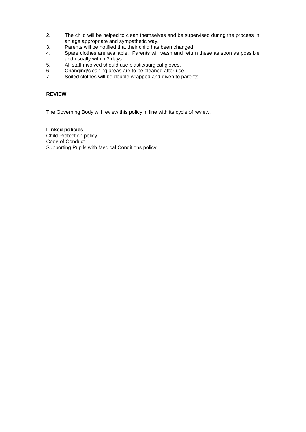- 2. The child will be helped to clean themselves and be supervised during the process in an age appropriate and sympathetic way.
- 3. Parents will be notified that their child has been changed.
- 4. Spare clothes are available. Parents will wash and return these as soon as possible and usually within 3 days.
- 5. All staff involved should use plastic/surgical gloves.
- 6. Changing/cleaning areas are to be cleaned after use.<br>7. Soiled clothes will be double wrapped and given to pa
- Soiled clothes will be double wrapped and given to parents.

# **REVIEW**

The Governing Body will review this policy in line with its cycle of review.

# **Linked policies**

Child Protection policy Code of Conduct Supporting Pupils with Medical Conditions policy